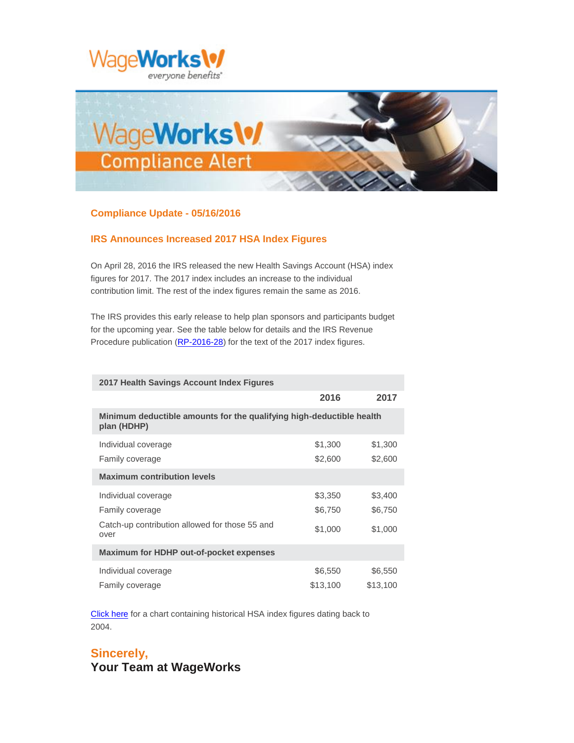



## **Compliance Update - 05/16/2016**

## **IRS Announces Increased 2017 HSA Index Figures**

On April 28, 2016 the IRS released the new Health Savings Account (HSA) index figures for 2017. The 2017 index includes an increase to the individual contribution limit. The rest of the index figures remain the same as 2016.

The IRS provides this early release to help plan sponsors and participants budget for the upcoming year. See the table below for details and the IRS Revenue Procedure publication [\(RP-2016-28\)](https://www.irs.gov/pub/irs-drop/rp-16-28.pdf?elqTrackId=F085C3272FFABEA45E3FCF32E6B43BF4&elq=bff0fe5c22e846f09244f701695e6e76&elqaid=571&elqat=1&elqCampaignId=) for the text of the 2017 index figures.

| 2017 Health Savings Account Index Figures                                           |          |          |
|-------------------------------------------------------------------------------------|----------|----------|
|                                                                                     | 2016     | 2017     |
| Minimum deductible amounts for the qualifying high-deductible health<br>plan (HDHP) |          |          |
| Individual coverage                                                                 | \$1,300  | \$1,300  |
| Family coverage                                                                     | \$2,600  | \$2,600  |
| <b>Maximum contribution levels</b>                                                  |          |          |
| Individual coverage                                                                 | \$3,350  | \$3,400  |
| Family coverage                                                                     | \$6,750  | \$6,750  |
| Catch-up contribution allowed for those 55 and<br>over                              | \$1,000  | \$1,000  |
| <b>Maximum for HDHP out-of-pocket expenses</b>                                      |          |          |
| Individual coverage                                                                 | \$6,550  | \$6,550  |
| Family coverage                                                                     | \$13,100 | \$13,100 |

[Click here](http://app.notice.wageworks.com/e/er?s=1678246123&lid=288&elqTrackId=7CA9B85737CCF4EF2397D2C7B019F3EC&elq=bff0fe5c22e846f09244f701695e6e76&elqaid=571&elqat=1) for a chart containing historical HSA index figures dating back to 2004.

## **Sincerely, Your Team at WageWorks**